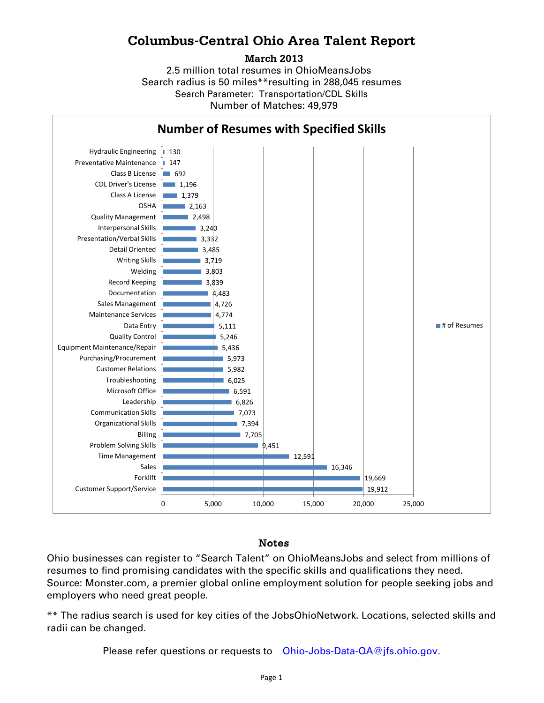## **Columbus-Central Ohio Area Talent Report**

**March 2013**

2.5 million total resumes in OhioMeansJobs Search radius is 50 miles\*\*resulting in 288,045 resumes Number of Matches: 49,979 Search Parameter: Transportation/CDL Skills



## Notes

Ohio businesses can register to "Search Talent" on OhioMeansJobs and select from millions of resumes to find promising candidates with the specific skills and qualifications they need. Source: Monster.com, a premier global online employment solution for people seeking jobs and employers who need great people.

\*\* The radius search is used for key cities of the JobsOhioNetwork. Locations, selected skills and radii can be changed.

Please refer questions or requests to [Ohio-Jobs-Data-QA@jfs.ohio.gov.](mailto:Ohio-Jobs-Data-QA@jfs.ohio.gov.)